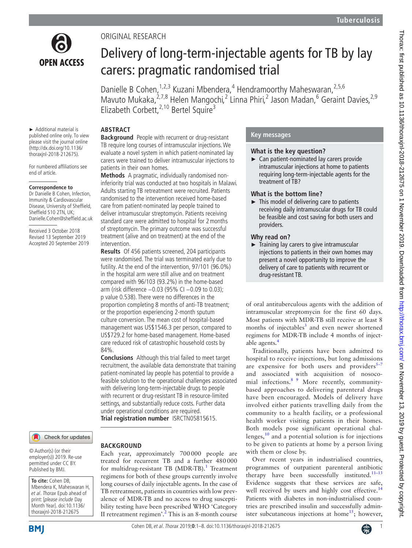

# Original research

# Delivery of long-term-injectable agents for TB by lay carers: pragmatic randomised trial

Danielle B Cohen,<sup>1,2,3</sup> Kuzani Mbendera,<sup>4</sup> Hendramoorthy Maheswaran,<sup>2,5,6</sup> Mavuto Mukaka, <sup>2,7,8</sup> Helen Mangochi, <sup>2</sup> Linna Phiri, <sup>2</sup> Jason Madan, <sup>6</sup> Geraint Davies, <sup>2,9</sup> Elizabeth Corbett,  $2,10$  Bertel Squire<sup>3</sup>

► Additional material is published online only. To view please visit the journal online (http://dx.doi.org/10.1136/ thoraxjnl-2018-212675).

For numbered affiliations see end of article.

#### **Correspondence to**

Dr Danielle B Cohen, Infection, Immunity & Cardiovascular Disease, University of Sheffield, Sheffield S10 2TN, UK; Danielle.Cohen@sheffield.ac.uk

Received 3 October 2018 Revised 13 September 2019 Accepted 20 September 2019

#### **Abstract**

**Background** People with recurrent or drug-resistant TB require long courses of intramuscular injections. We evaluate a novel system in which patient-nominated lay carers were trained to deliver intramuscular injections to patients in their own homes.

**Methods** A pragmatic, individually randomised noninferiority trial was conducted at two hospitals in Malawi. Adults starting TB retreatment were recruited. Patients randomised to the intervention received home-based care from patient-nominated lay people trained to deliver intramuscular streptomycin. Patients receiving standard care were admitted to hospital for 2months of streptomycin. The primary outcome was successful treatment (alive and on treatment) at the end of the intervention.

**Results** Of 456 patients screened, 204 participants were randomised. The trial was terminated early due to futility. At the end of the intervention, 97/101 (96.0%) in the hospital arm were still alive and on treatment compared with 96/103 (93.2%) in the home-based arm (risk difference −0.03 (95% CI −0.09 to 0.03); p value 0.538). There were no differences in the proportion completing 8 months of anti-TB treatment; or the proportion experiencing 2-month sputum culture conversion. The mean cost of hospital-based management was US\$1546.3 per person, compared to US\$729.2 for home-based management. Home-based care reduced risk of catastrophic household costs by 84%.

**Conclusions** Although this trial failed to meet target recruitment, the available data demonstrate that training patient-nominated lay people has potential to provide a feasible solution to the operational challenges associated with delivering long-term-injectable drugs to people with recurrent or drug-resistant TB in resource-limited settings, and substantially reduce costs. Further data under operational conditions are required. **Trial registration number** <ISRCTN05815615>.

#### Check for updates O

© Author(s) (or their employer(s)) 2019. Re-use permitted under CC BY. Published by BMJ.

**To cite:** Cohen DB, Mbendera K, Maheswaran H, et al. Thorax Epub ahead of print: [please include Day Month Year]. doi:10.1136/ thoraxjnl-2018-212675

#### **BACKGROUND**

Each year, approximately 700000 people are treated for recurrent TB and a further 480000 for multidrug-resistant TB (MDR-TB).<sup>[1](#page-7-0)</sup> Treatment regimens for both of these groups currently involve long courses of daily injectable agents. In the case of TB retreatment, patients in countries with low prevalence of MDR-TB and no access to drug susceptibility testing have been prescribed WHO 'Category II retreatment regimen'.<sup>[2](#page-7-1)</sup> This is an 8-month course

#### **Key messages**

#### **What is the key question?**

► Can patient-nominated lay carers provide intramuscular injections at home to patients requiring long-term-injectable agents for the treatment of TB?

#### **What is the bottom line?**

► This model of delivering care to patients receiving daily intramuscular drugs for TB could be feasible and cost saving for both users and providers.

#### **Why read on?**

► Training lay carers to give intramuscular injections to patients in their own homes may present a novel opportunity to improve the delivery of care to patients with recurrent or drug-resistant TB.

of oral antituberculous agents with the addition of intramuscular streptomycin for the first 60 days. Most patients with MDR-TB still receive at least 8 months of injectables<sup>3</sup> and even newer shortened regimens for MDR-TB include 4 months of injectable agents.<sup>4</sup>

Traditionally, patients have been admitted to hospital to receive injections, but long admissions are expensive for both users and providers $5-7$ and associated with acquisition of nosocomial infections.<sup>8</sup> <sup>9</sup> More recently, communitybased approaches to delivering parenteral drugs have been encouraged. Models of delivery have involved either patients travelling daily from the community to a health facility, or a professional health worker visiting patients in their homes. Both models pose significant operational challenges,  $10$  and a potential solution is for injections to be given to patients at home by a person living with them or close by.

Over recent years in industrialised countries, programmes of outpatient parenteral antibiotic therapy have been successfully instituted.<sup>11-13</sup> Evidence suggests that these services are safe, well received by users and highly cost effective.<sup>[14](#page-7-8)</sup> Patients with diabetes in non-industrialised countries are prescribed insulin and successfully admin-ister subcutaneous injections at home<sup>[15](#page-7-9)</sup>; however,

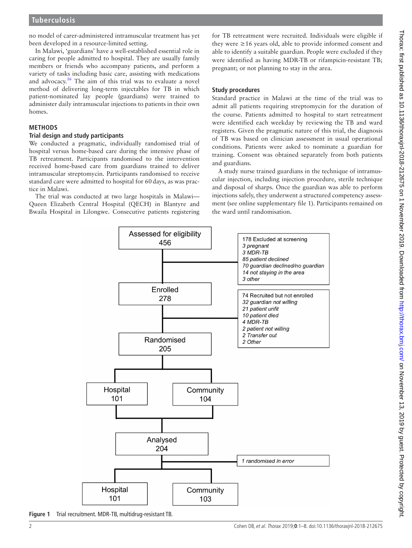no model of carer-administered intramuscular treatment has yet been developed in a resource-limited setting.

In Malawi, 'guardians' have a well-established essential role in caring for people admitted to hospital. They are usually family members or friends who accompany patients, and perform a variety of tasks including basic care, assisting with medications and advocacy.[16](#page-7-10) The aim of this trial was to evaluate a novel method of delivering long-term injectables for TB in which patient-nominated lay people (guardians) were trained to administer daily intramuscular injections to patients in their own homes.

#### **Methods**

#### **Trial design and study participants**

We conducted a pragmatic, individually randomised trial of hospital versus home-based care during the intensive phase of TB retreatment. Participants randomised to the intervention received home-based care from guardians trained to deliver intramuscular streptomycin. Participants randomised to receive standard care were admitted to hospital for 60days, as was practice in Malawi.

The trial was conducted at two large hospitals in Malawi— Queen Elizabeth Central Hospital (QECH) in Blantyre and Bwaila Hospital in Lilongwe. Consecutive patients registering

for TB retreatment were recruited. Individuals were eligible if they were ≥16 years old, able to provide informed consent and able to identify a suitable guardian. People were excluded if they were identified as having MDR-TB or rifampicin-resistant TB; pregnant; or not planning to stay in the area.

#### **Study procedures**

Standard practice in Malawi at the time of the trial was to admit all patients requiring streptomycin for the duration of the course. Patients admitted to hospital to start retreatment were identified each weekday by reviewing the TB and ward registers. Given the pragmatic nature of this trial, the diagnosis of TB was based on clinician assessment in usual operational conditions. Patients were asked to nominate a guardian for training. Consent was obtained separately from both patients and guardians.

A study nurse trained guardians in the technique of intramuscular injection, including injection procedure, sterile technique and disposal of sharps. Once the guardian was able to perform injections safely, they underwent a structured competency assessment (see [online supplementary file 1](https://dx.doi.org/10.1136/thoraxjnl-2018-212675)). Participants remained on the ward until randomisation.



<span id="page-1-0"></span>**Figure 1** Trial recruitment. MDR-TB, multidrug-resistant TB.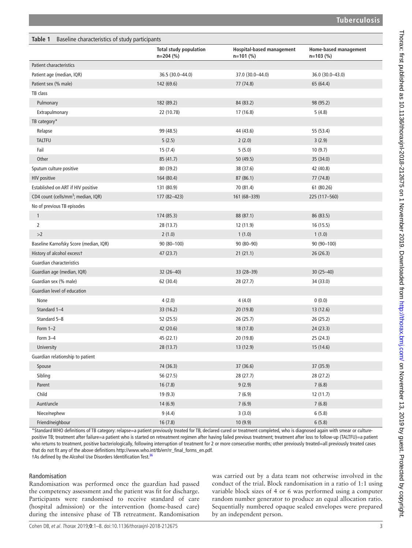<span id="page-2-0"></span>

| Table 1<br>Baseline characteristics of study participants |                                              |                                          |                                      |
|-----------------------------------------------------------|----------------------------------------------|------------------------------------------|--------------------------------------|
|                                                           | <b>Total study population</b><br>$n=204$ (%) | Hospital-based management<br>$n=101$ (%) | Home-based management<br>$n=103$ (%) |
| Patient characteristics                                   |                                              |                                          |                                      |
| Patient age (median, IQR)                                 | 36.5 (30.0-44.0)                             | 37.0 (30.0-44.0)                         | 36.0 (30.0-43.0)                     |
| Patient sex (% male)                                      | 142 (69.6)                                   | 77 (74.8)                                | 65 (64.4)                            |
| TB class                                                  |                                              |                                          |                                      |
| Pulmonary                                                 | 182 (89.2)                                   | 84 (83.2)                                | 98 (95.2)                            |
| Extrapulmonary                                            | 22 (10.78)                                   | 17 (16.8)                                | 5(4.8)                               |
| TB category*                                              |                                              |                                          |                                      |
| Relapse                                                   | 99 (48.5)                                    | 44 (43.6)                                | 55 (53.4)                            |
| <b>TALTFU</b>                                             | 5(2.5)                                       | 2(2.0)                                   | 3(2.9)                               |
| Fail                                                      | 15(7.4)                                      | 5(5.0)                                   | 10(9.7)                              |
| Other                                                     | 85 (41.7)                                    | 50 (49.5)                                | 35 (34.0)                            |
| Sputum culture positive                                   | 80 (39.2)                                    | 38 (37.6)                                | 42 (40.8)                            |
| <b>HIV positive</b>                                       | 164 (80.4)                                   | 87(86.1)                                 | 77 (74.8)                            |
| Established on ART if HIV positive                        | 131 (80.9)                                   | 70 (81.4)                                | 61 (80.26)                           |
| CD4 count (cells/mm <sup>3</sup> ; median, IQR)           | 177 (82-423)                                 | 161 (68-339)                             | 225 (117-560)                        |
| No of previous TB episodes                                |                                              |                                          |                                      |
| $\mathbf{1}$                                              | 174 (85.3)                                   | 88 (87.1)                                | 86 (83.5)                            |
| $\overline{2}$                                            | 28 (13.7)                                    | 12 (11.9)                                | 16(15.5)                             |
| >2                                                        | 2(1.0)                                       | 1(1.0)                                   | 1(1.0)                               |
| Baseline Karnofsky Score (median, IQR)                    | 90 (80-100)                                  | 90 (80-90)                               | 90 (90-100)                          |
| History of alcohol excesst                                | 47(23.7)                                     | 21(21.1)                                 | 26(26.3)                             |
| Guardian characteristics                                  |                                              |                                          |                                      |
| Guardian age (median, IQR)                                | $32(26 - 40)$                                | 33 (28-39)                               | $30(25 - 40)$                        |
| Guardian sex (% male)                                     | 62 (30.4)                                    | 28 (27.7)                                | 34 (33.0)                            |
| Guardian level of education                               |                                              |                                          |                                      |
| None                                                      | 4(2.0)                                       | 4(4.0)                                   | 0(0.0)                               |
| Standard 1-4                                              | 33 (16.2)                                    | 20 (19.8)                                | 13(12.6)                             |
| Standard 5-8                                              | 52 (25.5)                                    | 26 (25.7)                                | 26 (25.2)                            |
| Form $1-2$                                                | 42 (20.6)                                    | 18 (17.8)                                | 24(23.3)                             |
| Form 3-4                                                  | 45 (22.1)                                    | 20 (19.8)                                | 25 (24.3)                            |
| University                                                | 28 (13.7)                                    | 13 (12.9)                                | 15 (14.6)                            |
| Guardian relationship to patient                          |                                              |                                          |                                      |
| Spouse                                                    | 74 (36.3)                                    | 37 (36.6)                                | 37 (35.9)                            |
| Sibling                                                   | 56 (27.5)                                    | 28 (27.7)                                | 28 (27.2)                            |
| Parent                                                    | 16(7.8)                                      | 9(2.9)                                   | 7(6.8)                               |
| Child                                                     | 19 (9.3)                                     | 7(6.9)                                   | 12(11.7)                             |
| Aunt/uncle                                                | 14(6.9)                                      | 7(6.9)                                   | 7(6.8)                               |
| Niece/nephew                                              | 9(4.4)                                       | 3(3.0)                                   | 6(5.8)                               |
| Friend/neighbour                                          | 16(7.8)                                      | 10(9.9)                                  | 6(5.8)                               |

\*Standard WHO definitions of TB category: relapse=a patient previously treated for TB, declared cured or treatment completed, who is diagnosed again with smear or culturepositive TB; treatment after failure=a patient who is started on retreatment regimen after having failed previous treatment; treatment after loss to follow-up (TALTFU)=a patient who returns to treatment, positive bacteriologically, following interruption of treatment for 2 or more consecutive months; other previously treated=all previously treated cases that do not fit any of the above definitions [http://www.who.int/tb/err/rr\\_final\\_forms\\_en.pdf.](http://www.who.int/tb/err/rr_final_forms_en.pdf)

tAs defined by the Alcohol Use Disorders Identification Test.<sup>36</sup>

#### Randomisation

Randomisation was performed once the guardian had passed the competency assessment and the patient was fit for discharge. Participants were randomised to receive standard of care (hospital admission) or the intervention (home-based care) during the intensive phase of TB retreatment. Randomisation

was carried out by a data team not otherwise involved in the conduct of the trial. Block randomisation in a ratio of 1:1 using variable block sizes of 4 or 6 was performed using a computer random number generator to produce an equal allocation ratio. Sequentially numbered opaque sealed envelopes were prepared by an independent person.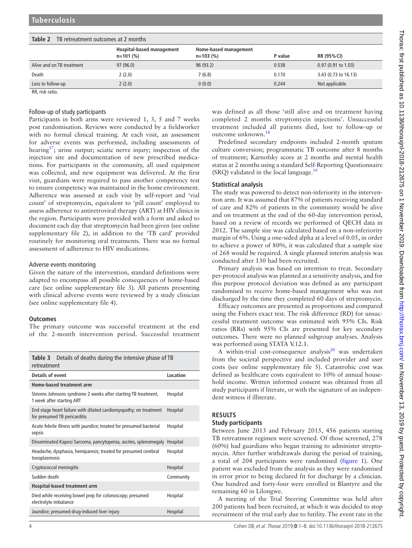<span id="page-3-0"></span>

|                           | Hospital-based management<br>$n=101(%)$ | Home-based management<br>$n=103(%)$ | P value | <b>RR (95% CI)</b>   |
|---------------------------|-----------------------------------------|-------------------------------------|---------|----------------------|
| Alive and on TB treatment | 97 (96.0)                               | 96 (93.2)                           | 0.538   | 0.97(0.91 to 1.03)   |
| Death                     | 2(2.0)                                  | 7 (6.8)                             | 0.170   | 3.43 (0.73 to 16.13) |
| Loss to follow-up         | 2(2.0)                                  | (0.0)                               | 0.244   | Not applicable       |
| __ _ _ _                  |                                         |                                     |         |                      |

RR, risk ratio.

#### Follow-up of study participants

Participants in both arms were reviewed 1, 3, 5 and 7 weeks post randomisation. Reviews were conducted by a fieldworker with no formal clinical training. At each visit, an assessment for adverse events was performed, including assessments of hearing<sup>[17](#page-7-12)</sup>; urine output; sciatic nerve injury; inspection of the injection site and documentation of new prescribed medications. For participants in the community, all used equipment was collected, and new equipment was delivered. At the first visit, guardians were required to pass another competency test to ensure competency was maintained in the home environment. Adherence was assessed at each visit by self-report and 'vial count' of streptomycin, equivalent to 'pill count' employed to assess adherence to antiretroviral therapy (ART) at HIV clinics in the region. Participants were provided with a form and asked to document each day that streptomycin had been given (see [online](https://dx.doi.org/10.1136/thoraxjnl-2018-212675)  [supplementary file 2\)](https://dx.doi.org/10.1136/thoraxjnl-2018-212675), in addition to the 'TB card' provided routinely for monitoring oral treatments. There was no formal assessment of adherence to HIV medications.

#### Adverse events monitoring

Given the nature of the intervention, standard definitions were adapted to encompass all possible consequences of home-based care (see [online supplementary file 3](https://dx.doi.org/10.1136/thoraxjnl-2018-212675)). All patients presenting with clinical adverse events were reviewed by a study clinician (see [online supplementary file 4\)](https://dx.doi.org/10.1136/thoraxjnl-2018-212675).

#### **Outcomes**

The primary outcome was successful treatment at the end of the 2-month intervention period. Successful treatment

<span id="page-3-1"></span>

| Details of deaths during the intensive phase of TB<br>Table 3<br>retreatment                      |           |  |  |
|---------------------------------------------------------------------------------------------------|-----------|--|--|
| <b>Details of event</b>                                                                           | Location  |  |  |
| <b>Home-based treatment arm</b>                                                                   |           |  |  |
| Stevens Johnsons syndrome 2 weeks after starting TB treatment,<br>1 week after starting ART       | Hospital  |  |  |
| End stage heart failure with dilated cardiomyopathy; on treatment<br>for presumed TB pericarditis | Hospital  |  |  |
| Acute febrile illness with jaundice; treated for presumed bacterial<br>sepsis                     | Hospital  |  |  |
| Disseminated Kaposi Sarcoma, pancytopenia, ascites, splenomegaly                                  | Hospital  |  |  |
| Headache, dysphasia, hemiparesis; treated for presumed cerebral<br>toxoplasmosis                  | Hospital  |  |  |
| Cryptococcal meningitis                                                                           | Hospital  |  |  |
| Sudden death                                                                                      | Community |  |  |
| Hospital-based treatment arm                                                                      |           |  |  |
| Died while receiving bowel prep for colonoscopy; presumed<br>electrolyte imbalance                | Hospital  |  |  |
| Jaundice; presumed drug-induced liver injury                                                      | Hospital  |  |  |

was defined as all those 'still alive and on treatment having completed 2 months streptomycin injections'. Unsuccessful treatment included all patients died, lost to follow-up or outcome unknown.[18](#page-7-13)

Predefined secondary endpoints included 2-month sputum culture conversion; programmatic TB outcome after 8 months of treatment; Karnofsky score at 2 months and mental health status at 2 months using a standard Self-Reporting Questionnaire (SRQ) validated in the local language. $19$ 

#### **Statistical analysis**

The study was powered to detect non-inferiority in the intervention arm. It was assumed that 87% of patients receiving standard of care and 82% of patients in the community would be alive and on treatment at the end of the 60-day intervention period, based on a review of records we performed of QECH data in 2012. The sample size was calculated based on a non-inferiority margin of 6%. Using a one-sided alpha at a level of 0.05, in order to achieve a power of 80%, it was calculated that a sample size of 268 would be required. A single planned interim analysis was conducted after 130 had been recruited.

Primary analysis was based on intention to treat. Secondary per-protocol analysis was planned as a sensitivity analysis, and for this purpose protocol deviation was defined as any participant randomised to receive home-based management who was not discharged by the time they completed 60 days of streptomycin.

Efficacy outcomes are presented as proportions and compared using the Fishers exact test. The risk difference (RD) for unsuccessful treatment outcome was estimated with 95% CIs. Risk ratios (RRs) with 95% CIs are presented for key secondary outcomes. There were no planned subgroup analyses. Analysis was performed using STATA V.12.1.

A within-trial cost-consequence analysis $^{20}$  $^{20}$  $^{20}$  was undertaken from the societal perspective and included provider and user costs (see [online supplementary file 5](https://dx.doi.org/10.1136/thoraxjnl-2018-212675)). Catastrohic cost was defined as healthcare costs equivalent to 10% of annual household income. Written informed consent was obtained from all study participants if literate, or with the signature of an independent witness if illiterate.

#### **Results**

#### **Study participants**

Between June 2013 and February 2015, 456 patients starting TB retreatment regimen were screened. Of those screened, 278 (60%) had guardians who began training to administer streptomycin. After further withdrawals during the period of training, a total of 204 participants were randomised ([figure](#page-1-0) 1). One patient was excluded from the analysis as they were randomised in error prior to being declared fit for discharge by a clinician. One hundred and forty-four were enrolled in Blantyre and the remaining 60 in Lilongwe.

A meeting of the Trial Steering Committee was held after 200 patients had been recruited, at which it was decided to stop recruitment of the trial early due to futility. The event rate in the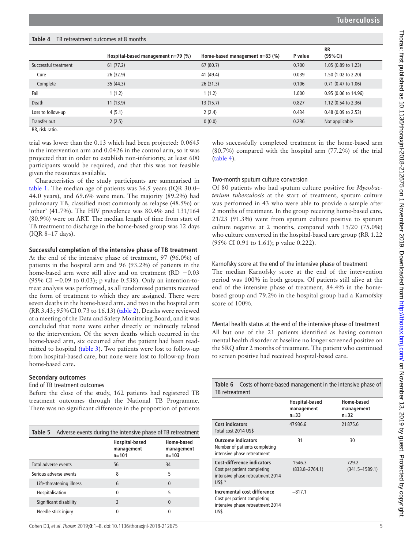<span id="page-4-0"></span>

| Table 4<br>TB retreatment outcomes at 8 months |                                      |                                  |         |                       |
|------------------------------------------------|--------------------------------------|----------------------------------|---------|-----------------------|
|                                                | Hospital-based management $n=79$ (%) | Home-based management $n=83$ (%) | P value | <b>RR</b><br>(95% CI) |
| Successful treatment                           | 61(77.2)                             | 67(80.7)                         | 0.700   | 1.05 (0.89 to 1.23)   |
| Cure                                           | 26 (32.9)                            | 41 (49.4)                        | 0.039   | 1.50 (1.02 to 2.20)   |
| Complete                                       | 35(44.3)                             | 26(31.3)                         | 0.106   | 0.71 (0.47 to 1.06)   |
| Fail                                           | 1(1.2)                               | 1(1.2)                           | 1.000   | 0.95 (0.06 to 14.96)  |
| Death                                          | 11(13.9)                             | 13(15.7)                         | 0.827   | 1.12 (0.54 to 2.36)   |
| Loss to follow-up                              | 4(5.1)                               | 2(2.4)                           | 0.434   | $0.48$ (0.09 to 2.53) |
| Transfer out                                   | 2(2.5)                               | 0(0.0)                           | 0.236   | Not applicable        |

RR, risk ratio.

trial was lower than the 0.13 which had been projected: 0.0645 in the intervention arm and 0.0426 in the control arm, so it was projected that in order to establish non-inferiority, at least 600 participants would be required, and that this was not feasible given the resources available.

Characteristics of the study participants are summarised in [table](#page-2-0) 1. The median age of patients was 36.5 years (IQR 30.0– 44.0 years), and 69.6% were men. The majority (89.2%) had pulmonary TB, classified most commonly as relapse (48.5%) or 'other' (41.7%). The HIV prevalence was 80.4% and 131/164 (80.9%) were on ART. The median length of time from start of TB treatment to discharge in the home-based group was 12 days (IQR 8–17 days).

#### **Successful completion of the intensive phase of TB treatment**

At the end of the intensive phase of treatment, 97 (96.0%) of patients in the hospital arm and 96 (93.2%) of patients in the home-based arm were still alive and on treatment (RD −0.03 (95% CI −0.09 to 0.03); p value 0.538). Only an intention-totreat analysis was performed, as all randomised patients received the form of treatment to which they are assigned. There were seven deaths in the home-based arm, and two in the hospital arm (RR 3.43; 95%CI 0.73 to 16.13) [\(table](#page-3-0) 2). Deaths were reviewed at a meeting of the Data and Safety Monitoring Board, and it was concluded that none were either directly or indirectly related to the intervention. Of the seven deaths which occurred in the home-based arm, six occurred after the patient had been readmitted to hospital [\(table](#page-3-1) 3). Two patients were lost to follow-up from hospital-based care, but none were lost to follow-up from home-based care.

#### **Secondary outcomes**

#### End of TB treatment outcomes

Before the close of the study, 162 patients had registered TB treatment outcomes through the National TB Programme. There was no significant difference in the proportion of patients

<span id="page-4-1"></span>

|                          | <b>Table 5</b> Adverse events during the intensive phase of TB retreatment |                                       |  |  |
|--------------------------|----------------------------------------------------------------------------|---------------------------------------|--|--|
|                          | Hospital-based<br>management<br>$n = 101$                                  | Home-based<br>management<br>$n = 103$ |  |  |
| Total adverse events     | 56                                                                         | 34                                    |  |  |
| Serious adverse events   | 8                                                                          | 5                                     |  |  |
| Life-threatening illness | 6                                                                          | $\theta$                              |  |  |
| Hospitalisation          | 0                                                                          | 5                                     |  |  |
| Significant disability   | $\overline{2}$                                                             | $\Omega$                              |  |  |
| Needle stick injury      | 0                                                                          | U                                     |  |  |

who successfully completed treatment in the home-based arm (80.7%) compared with the hospital arm (77.2%) of the trial ([table](#page-4-0) 4).

#### Two-month sputum culture conversion

Of 80 patients who had sputum culture positive for *Mycobacterium tuberculosis* at the start of treatment, sputum culture was performed in 43 who were able to provide a sample after 2 months of treatment. In the group receiving home-based care, 21/23 (91.3%) went from sputum culture positive to sputum culture negative at 2 months, compared with 15/20 (75.0%) who culture converted in the hospital-based care group (RR 1.22 (95% CI 0.91 to 1.61); p value 0.222).

### Karnofsky score at the end of the intensive phase of treatment

The median Karnofsky score at the end of the intervention period was 100% in both groups. Of patients still alive at the end of the intensive phase of treatment, 84.4% in the homebased group and 79.2% in the hospital group had a Karnofsky score of 100%.

Mental health status at the end of the intensive phase of treatment All but one of the 21 patients identified as having common mental health disorder at baseline no longer screened positive on the SRQ after 2 months of treatment. The patient who continued to screen positive had received hospital-based care.

<span id="page-4-2"></span>

|                | Table 6 Costs of home-based management in the intensive phase of |
|----------------|------------------------------------------------------------------|
| TB retreatment |                                                                  |

|                                                                                                          | Hospital-based<br>management<br>$n = 33$ | Home-based<br>management<br>$n = 32$ |
|----------------------------------------------------------------------------------------------------------|------------------------------------------|--------------------------------------|
| Cost indicators<br>Total cost 2014 US\$                                                                  | 47936.6                                  | 21875.6                              |
| Outcome indicators<br>Number of patients completing<br>intensive phase retreatment                       | 31                                       | 30                                   |
| Cost-difference indicators<br>Cost per patient completing<br>intensive phase retreatment 2014<br>$USS^*$ | 1546.3<br>$(833.8 - 2764.1)$             | 729.2<br>$(341.5 - 1589.1)$          |
| Incremental cost difference<br>Cost per patient completing<br>intensive phase retreatment 2014<br>US\$   | $-817.1$                                 |                                      |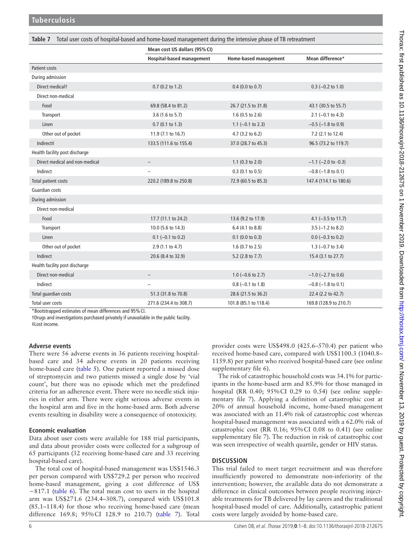<span id="page-5-0"></span>

|                                | Mean cost US dollars (95% CI) |                       |                               |  |
|--------------------------------|-------------------------------|-----------------------|-------------------------------|--|
|                                | Hospital-based management     | Home-based management | Mean difference*              |  |
| Patient costs                  |                               |                       |                               |  |
| During admission               |                               |                       |                               |  |
| Direct medicalt                | $0.7$ (0.2 to 1.2)            | $0.4$ (0.0 to 0.7)    | $0.3$ (-0.2 to 1.0)           |  |
| Direct non-medical             |                               |                       |                               |  |
| Food                           | 69.8 (58.4 to 81.2)           | 26.7 (21.5 to 31.8)   | 43.1 (30.5 to 55.7)           |  |
| Transport                      | 3.6 (1.6 to 5.7)              | $1.6$ (0.5 to 2.6)    | $2.1$ (-0.1 to 4.3)           |  |
| Linen                          | $0.7$ (0.1 to 1.3)            | $1.1$ (-0.1 to 2.3)   | $-0.5$ ( $-1.8$ to 0.9)       |  |
| Other out of pocket            | 11.9 (7.1 to 16.7)            | 4.7 (3.2 to 6.2)      | 7.2 (2.1 to 12.4)             |  |
| Indirect‡                      | 133.5 (111.6 to 155.4)        | 37.0 (28.7 to 45.3)   | 96.5 (73.2 to 119.7)          |  |
| Health facility post discharge |                               |                       |                               |  |
| Direct medical and non-medical |                               | 1.1 (0.3 to 2.0)      | $-1.1$ ( $-2.0$ to $-0.3$ )   |  |
| Indirect                       | $\overline{\phantom{0}}$      | $0.3$ (0.1 to 0.5)    | $-0.8$ ( $-1.8$ to 0.1)       |  |
| Total patient costs            | 220.2 (189.8 to 250.8)        | 72.9 (60.5 to 85.3)   | 147.4 (114.1 to 180.6)        |  |
| <b>Guardian costs</b>          |                               |                       |                               |  |
| During admission               |                               |                       |                               |  |
| Direct non-medical             |                               |                       |                               |  |
| Food                           | 17.7 (11.1 to 24.2)           | 13.6 (9.2 to 17.9)    | 4.1 $(-3.5 \text{ to } 11.7)$ |  |
| Transport                      | 10.0 (5.6 to 14.3)            | 6.4 (4.1 to 8.8)      | $3.5$ (-1.2 to 8.2)           |  |
| Linen                          | $0.1$ (-0.1 to 0.2)           | $0.1$ (0.0 to 0.3)    | $0.0$ (-0.3 to 0.2)           |  |
| Other out of pocket            | 2.9 (1.1 to 4.7)              | 1.6 (0.7 to 2.5)      | $1.3$ (-0.7 to 3.4)           |  |
| Indirect                       | 20.6 (8.4 to 32.9)            | 5.2 (2.8 to 7.7)      | 15.4 (3.1 to 27.7)            |  |
| Health facility post discharge |                               |                       |                               |  |
| Direct non-medical             | -                             | $1.0$ (-0.6 to 2.7)   | $-1.0$ ( $-2.7$ to 0.6)       |  |
| Indirect                       |                               | $0.8$ (-0.1 to 1.8)   | $-0.8$ ( $-1.8$ to 0.1)       |  |
| Total quardian costs           | 51.3 (31.8 to 70.8)           | 28.6 (21.5 to 36.2)   | 22.4 (2.2 to 42.7)            |  |
| Total user costs               | 271.6 (234.4 to 308.7)        | 101.8 (85.1 to 118.4) | 169.8 (128.9 to 210.7)        |  |

\*Bootstrapped estimates of mean differences and 95%CI.

†Drugs and investigations purchased privately if unavailable in the public facility. ‡Lost income.

#### **Adverse events**

There were 56 adverse events in 36 patients receiving hospitalbased care and 34 adverse events in 20 patients receiving home-based care [\(table](#page-4-1) 5). One patient reported a missed dose of streptomycin and two patients missed a single dose by 'vial count', but there was no episode which met the predefined criteria for an adherence event. There were no needle stick injuries in either arm. There were eight serious adverse events in the hospital arm and five in the home-based arm. Both adverse events resulting in disability were a consequence of ototoxicity.

#### **Economic evaluation**

Data about user costs were available for 188 trial participants, and data about provider costs were collected for a subgroup of 65 participants (32 receiving home-based care and 33 receiving hospital-based care).

The total cost of hospital-based management was US\$1546.3 per person compared with US\$729.2 per person who received home-based management, giving a cost difference of US\$ −817.1 ([table](#page-4-2) 6). The total mean cost to users in the hospital arm was US\$271.6 (234.4–308.7), compared with US\$101.8 (85.1–118.4) for those who receiving home-based care (mean difference 169.8; 95%CI 128.9 to 210.7) [\(table](#page-5-0) 7). Total provider costs were US\$498.0 (425.6–570.4) per patient who received home-based care, compared with US\$1100.3 (1040.8– 1159.8) per patient who received hospital-based care (see [online](https://dx.doi.org/10.1136/thoraxjnl-2018-212675) [supplementary file 6](https://dx.doi.org/10.1136/thoraxjnl-2018-212675)).

The risk of catastrophic household costs was 34.1% for participants in the home-based arm and 85.9% for those managed in hospital (RR 0.40; 95%CI 0.29 to 0.54) (see [online supple](https://dx.doi.org/10.1136/thoraxjnl-2018-212675)[mentary file 7](https://dx.doi.org/10.1136/thoraxjnl-2018-212675)). Applying a definition of catastrophic cost at 20% of annual household income, home-based management was associated with an 11.4% risk of catastrophic cost whereas hospital-based management was associated with a 62.0% risk of catastrophic cost (RR 0.16; 95%CI 0.08 to 0.41) (see [online](https://dx.doi.org/10.1136/thoraxjnl-2018-212675) [supplementary file 7\)](https://dx.doi.org/10.1136/thoraxjnl-2018-212675). The reduction in risk of catastrophic cost was seen irrespective of wealth quartile, gender or HIV status.

#### **Discussion**

This trial failed to meet target recruitment and was therefore insufficiently powered to demonstrate non-inferiority of the intervention; however, the available data do not demonstrate a difference in clinical outcomes between people receiving injectable treatments for TB delivered by lay carers and the traditional hospital-based model of care. Additionally, catastrophic patient costs were largely avoided by home-based care.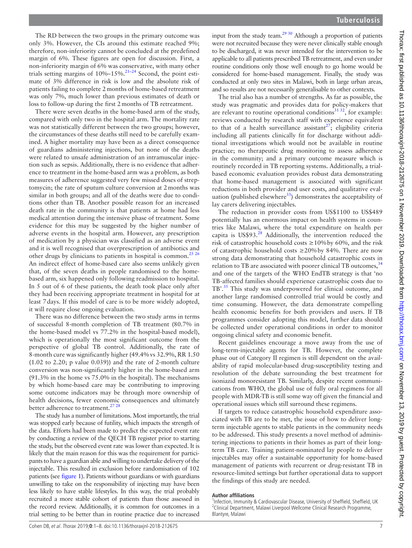The RD between the two groups in the primary outcome was only 3%. However, the CIs around this estimate reached 9%; therefore, non-inferiority cannot be concluded at the predefined margin of 6%. These figures are open for discussion. First, a non-inferiority margin of 6% was conservative, with many other trials setting margins of  $10\% - 15\%$ .<sup>21-24</sup> Second, the point estimate of 3% difference in risk is low and the absolute risk of patients failing to complete 2months of home-based retreatment was only 7%, much lower than previous estimates of death or loss to follow-up during the first 2months of TB retreatment.

There were seven deaths in the home-based arm of the study, compared with only two in the hospital arm. The mortality rate was not statistically different between the two groups; however, the circumstances of these deaths still need to be carefully examined. A higher mortality may have been as a direct consequence of guardians administering injections, but none of the deaths were related to unsafe administration of an intramuscular injection such as sepsis. Additionally, there is no evidence that adherence to treatment in the home-based arm was a problem, as both measures of adherence suggested very few missed doses of streptomycin; the rate of sputum culture conversion at 2months was similar in both groups; and all of the deaths were due to conditions other than TB. Another possible reason for an increased death rate in the community is that patients at home had less medical attention during the intensive phase of treatment. Some evidence for this may be suggested by the higher number of adverse events in the hospital arm. However, any prescription of medication by a physician was classified as an adverse event and it is well recognised that overprescription of antibiotics and other drugs by clinicians to patients in hospital is common.<sup>25 26</sup> An indirect effect of home-based care also seems unlikely given that, of the seven deaths in people randomised to the homebased arm, six happened only following readmission to hospital. In 5 out of 6 of these patients, the death took place only after they had been receiving appropriate treatment in hospital for at least 7days. If this model of care is to be more widely adopted, it will require close ongoing evaluation.

There was no difference between the two study arms in terms of successful 8-month completion of TB treatment (80.7% in the home-based model vs 77.2% in the hospital-based model), which is operationally the most significant outcome from the perspective of global TB control. Additionally, the rate of 8-month cure was significantly higher (49.4%vs 32.9%, RR 1.50 (1.02 to 2.20; p value 0.039)) and the rate of 2-month culture conversion was non-significantly higher in the home-based arm (91.3% in the home vs 75.0% in the hospital). The mechanisms by which home-based care may be contributing to improving some outcome indicators may be through more ownership of health decisions, fewer economic consequences and ultimately better adherence to treatment.<sup>27</sup>  $28$ 

The study has a number of limitations. Most importantly, the trial was stopped early because of futility, which impacts the strength of the data. Efforts had been made to predict the expected event rate by conducting a review of the QECH TB register prior to starting the study, but the observed event rate was lower than expected. It is likely that the main reason for this was the requirement for participants to have a guardian able and willing to undertake delivery of the injectable. This resulted in exclusion before randomisation of 102 patients (see [figure](#page-1-0) 1). Patients without guardians or with guardians unwilling to take on the responsibility of injecting may have been less likely to have stable lifestyles. In this way, the trial probably recruited a more stable cohort of patients than those assessed in the record review. Additionally, it is common for outcomes in a trial setting to be better than in routine practice due to increased

input from the study team.<sup>29 30</sup> Although a proportion of patients were not recruited because they were never clinically stable enough to be discharged, it was never intended for the intervention to be applicable to all patients prescribed TB retreatment, and even under routine conditions only those well enough to go home would be considered for home-based management. Finally, the study was conducted at only two sites in Malawi, both in large urban areas, and so results are not necessarily generalisable to other contexts.

The trial also has a number of strengths. As far as possible, the study was pragmatic and provides data for policy-makers that are relevant to routine operational conditions<sup>31 32</sup>, for example: reviews conducted by research staff with experience equivalent to that of a health surveillance assistant<sup>27</sup>; eligibility criteria including all patients clinically fit for discharge without additional investigations which would not be available in routine practice; no therapeutic drug monitoring to assess adherence in the community; and a primary outcome measure which is routinely recorded in TB reporting systems. Additionally, a trialbased economic evaluation provides robust data demonstrating that home-based management is associated with significant reductions in both provider and user costs, and qualitative evaluation (published elsewhere<sup>33</sup>) demonstrates the acceptability of lay carers delivering injectables.

The reduction in provider costs from US\$1100 to US\$489 potentially has an enormous impact on health systems in countries like Malawi, where the total expenditure on health per capita is  $US$93<sup>28</sup>$  $US$93<sup>28</sup>$  $US$93<sup>28</sup>$  Additionally, the intervention reduced the risk of catastrophic household costs  $\geq 10\%$  by 60%, and the risk of catastrophic household costs ≥20% by 84%. There are now strong data demonstrating that household catastrophic costs in relation to TB are associated with poorer clinical TB outcomes, <sup>[34](#page-7-23)</sup> and one of the targets of the WHO EndTB strategy is that 'no TB-affected families should experience catastrophic costs due to TB'.<sup>35</sup> This study was underpowered for clinical outcome, and another large randomised controlled trial would be costly and time consuming. However, the data demonstrate compelling health economic benefits for both providers and users. If TB programmes consider adopting this model, further data should be collected under operational conditions in order to monitor ongoing clinical safety and economic benefit.

Recent guidelines encourage a move away from the use of long-term-injectable agents for TB. However, the complete phase out of Category II regimen is still dependent on the availability of rapid molecular-based drug-susceptibility testing and resolution of the debate surrounding the best treatment for isoniazid monoresistant TB. Similarly, despite recent communications from WHO, the global use of fully oral regimens for all people with MDR-TB is still some way off given the financial and operational issues which still surround these regimens.

If targets to reduce catastrophic household expenditure associated with TB are to be met, the issue of how to deliver longterm injectable agents to stable patients in the community needs to be addressed. This study presents a novel method of administering injections to patients in their homes as part of their longterm TB care. Training patient-nominated lay people to deliver injectables may offer a sustainable opportunity for home-based management of patients with recurrent or drug-resistant TB in resource-limited settings but further operational data to support the findings of this study are needed.

#### **Author affiliations**

<sup>1</sup> Infection, Immunity & Cardiovascular Disease, University of Sheffield, Sheffield, UK<br><sup>2</sup> Clinical Denartment, Malawi Liverpool Wellcome Clinical Becaarch Programme <sup>2</sup>Clinical Department, Malawi Liverpool Wellcome Clinical Research Programme, Blantyre, Malawi